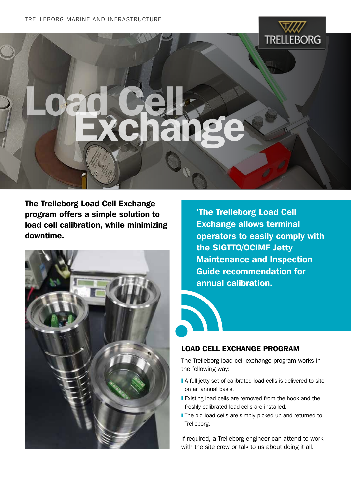

## Load Cells

The Trelleborg Load Cell Exchange program offers a simple solution to load cell calibration, while minimizing downtime.



'The Trelleborg Load Cell Exchange allows terminal operators to easily comply with the SIGTTO/OCIMF Jetty Maintenance and Inspection Guide recommendation for annual calibration.

## load cell exchange program

The Trelleborg load cell exchange program works in the following way:

- A full jetty set of calibrated load cells is delivered to site on an annual basis.
- **I** Existing load cells are removed from the hook and the freshly calibrated load cells are installed.
- The old load cells are simply picked up and returned to Trelleborg.

If required, a Trelleborg engineer can attend to work with the site crew or talk to us about doing it all.